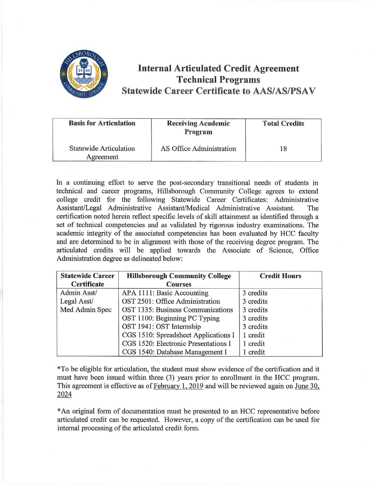

## **Internal Articulated Credit Agreement Technical Programs Statewide Career Certificate to AAS/AS/PSAV**

| <b>Basis for Articulation</b>              | <b>Receiving Academic</b><br>Program | <b>Total Credits</b> |
|--------------------------------------------|--------------------------------------|----------------------|
| <b>Statewide Articulation</b><br>Agreement | AS Office Administration             | 18                   |

In a continuing effort to serve the post-secondary transitional needs of students in technical and career programs, Hillsborough Community College agrees to extend college credit for the following Statewide Career Certificates: Administrative Assistant/Legal Administrative Assistant/Medical Administrative Assistant. The certification noted herein reflect specific levels of skill attainment as identified through a set of technical competencies and as validated by rigorous industry examinations. The academic integrity of the associated competencies has been evaluated by HCC faculty and are determined to be in alignment with those of the receiving degree program. The articulated credits will be applied towards the Associate of Science, Office Administration degree as delineated below:

| <b>Statewide Career</b> | <b>Hillsborough Community College</b> | <b>Credit Hours</b> |
|-------------------------|---------------------------------------|---------------------|
| <b>Certificate</b>      | <b>Courses</b>                        |                     |
| Admin Asst/             | APA 1111: Basic Accounting            | 3 credits           |
| Legal Asst/             | OST 2501: Office Administration       | 3 credits           |
| Med Admin Spec          | OST 1335: Business Communications     | 3 credits           |
|                         | OST 1100: Beginning PC Typing         | 3 credits           |
|                         | OST 1941: OST Internship              | 3 credits           |
|                         | CGS 1510: Spreadsheet Applications I  | 1 credit            |
|                         | CGS 1520: Electronic Presentations I  | 1 credit            |
|                         | CGS 1540: Database Management I       | 1 credit            |

\*To be eligible for articulation, the student must show evidence of the certification and it must have been issued within three (3) years prior to enrollment in the HCC program. This agreement is effective as of February 1, 2019 and will be reviewed again on June 30, 2024

\* An original form of documentation must be presented to an HCC representative before articulated credit can be requested. However, a copy of the certification can be used for internal processing of the articulated credit form.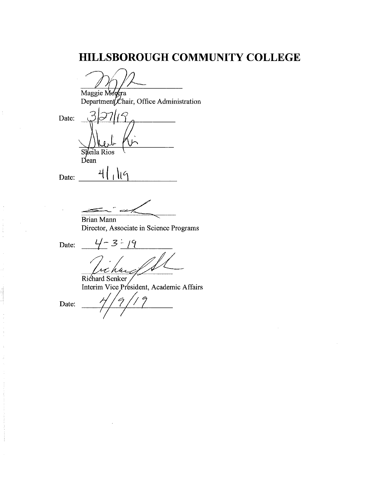# HILLSBOROUGH COMMUNITY COLLEGE

Maggie Morera<br>Department Chair, Office Administration

Date: Sheila Rios  $Dean$ 

 $\mathsf{I}$ 

4

Date:

**Brian Mann** 

Director, Associate in Science Programs

Date:

 $4 - 3 - 19$ 

Richard Senker Interim Vice President, Academic Affairs

Date: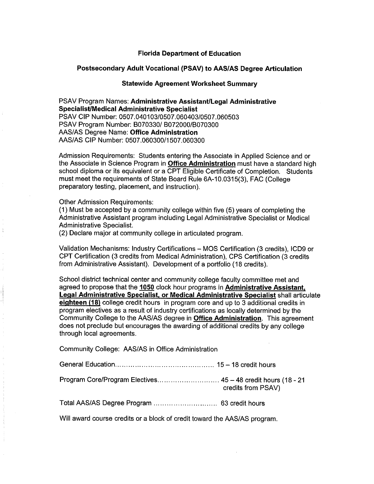#### **Florida Department of Education**

#### **Postsecondary Adult Vocational (PSAV) to AAS/AS Degree Articulation**

### **Statewide Agreement Worksheet Summary**

PSAV Program Names: **Administrative Assistant/Legal Administrative Specialist/Medical Administrative Specialist**  PSAV CIP Number: 0507.040103/0507.060403/0507.060503 PSAV Program Number: B070330/ B072000/B070300 AAS/AS Degree Name: **Office Administration**  AAS/AS CIP Number: 0507.060300/1507.060300

Admission Requirements: Students entering the Associate in Applied Science and or the Associate in Science Program in **Office Administration** must have a standard high school diploma or its equivalent or a CPT Eligible Certificate of Completion. Students must meet the requirements of State Board Rule 6A-10.0315(3), FAC (College preparatory testing, placement, and instruction).

Other Admission Requirements:

(1) Must be accepted by a community college within five (5) years of completing the Administrative Assistant program including Legal Administrative Specialist or Medical Administrative Specialist.

(2) Declare major at community college in articulated program.

Validation Mechanisms: Industry Certifications - MOS Certification (3 credits), ICD9 or CPT Certification (3 credits from Medical Administration), CPS Certification (3 credits from Administrative Assistant). Development of a portfolio (18 credits).

School district technical center and community college faculty committee met and agreed to propose that the **1050** clock hour programs in **Administrative Assistant, Legal Administrative Specialist, or Medical Administrative Specialist** shall articulate **eighteen (18)** college credit hours in program core and up to 3 additional credits in program electives as a result of industry certifications as locally determined by the Community College to the AAS/AS degree in **Office Administration.** This agreement does not preclude but encourages the awarding of additional credits by any college through local agreements.

Community College: AAS/AS in Office Administration

| Program Core/Program Electives 45 - 48 credit hours (18 - 21 | credits from PSAV) |
|--------------------------------------------------------------|--------------------|
|                                                              |                    |

Will award course credits or a block of credit toward the AAS/AS program.